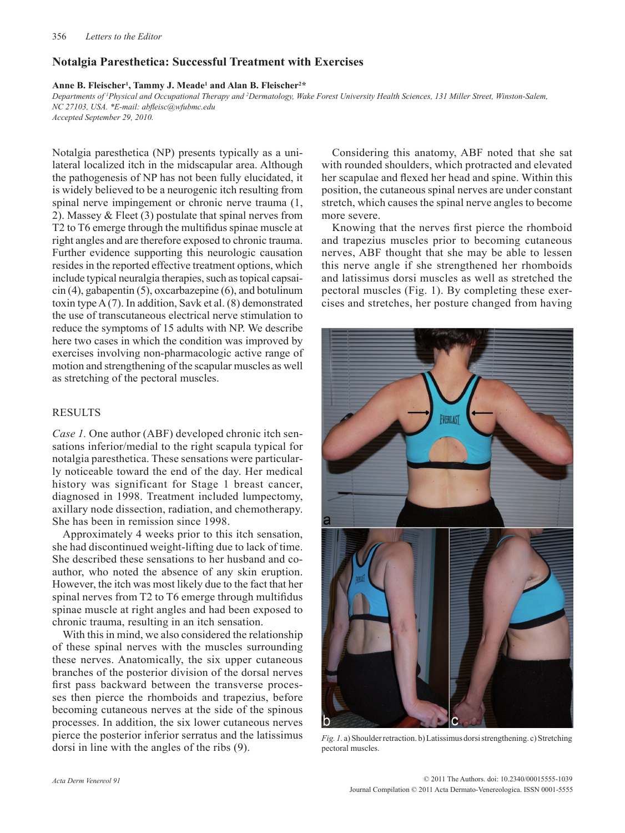## **Notalgia Paresthetica: Successful Treatment with Exercises**

### **Anne B. Fleischer1 , Tammy J. Meade1 and Alan B. Fleischer2 \***

*Departments of 1 Physical and Occupational Therapy and 2 Dermatology, Wake Forest University Health Sciences, 131 Miller Street, Winston-Salem, NC 27103, USA. \*E-mail: abfleisc@wfubmc.edu*

*Accepted September 29, 2010.*

Notalgia paresthetica (NP) presents typically as a unilateral localized itch in the midscapular area. Although the pathogenesis of NP has not been fully elucidated, it is widely believed to be a neurogenic itch resulting from spinal nerve impingement or chronic nerve trauma (1, 2). Massey & Fleet (3) postulate that spinal nerves from T2 to T6 emerge through the multifidus spinae muscle at right angles and are therefore exposed to chronic trauma. Further evidence supporting this neurologic causation resides in the reported effective treatment options, which include typical neuralgia therapies, such as topical capsaicin (4), gabapentin (5), oxcarbazepine (6), and botulinum toxin type A (7). In addition, Savk et al. (8) demonstrated the use of transcutaneous electrical nerve stimulation to reduce the symptoms of 15 adults with NP. We describe here two cases in which the condition was improved by exercises involving non-pharmacologic active range of motion and strengthening of the scapular muscles as well as stretching of the pectoral muscles.

# RESULTS

*Case 1.* One author (ABF) developed chronic itch sensations inferior/medial to the right scapula typical for notalgia paresthetica. These sensations were particularly noticeable toward the end of the day. Her medical history was significant for Stage 1 breast cancer, diagnosed in 1998. Treatment included lumpectomy, axillary node dissection, radiation, and chemotherapy. She has been in remission since 1998.

Approximately 4 weeks prior to this itch sensation, she had discontinued weight-lifting due to lack of time. She described these sensations to her husband and coauthor, who noted the absence of any skin eruption. However, the itch was most likely due to the fact that her spinal nerves from T2 to T6 emerge through multifidus spinae muscle at right angles and had been exposed to chronic trauma, resulting in an itch sensation.

With this in mind, we also considered the relationship of these spinal nerves with the muscles surrounding these nerves. Anatomically, the six upper cutaneous branches of the posterior division of the dorsal nerves first pass backward between the transverse processes then pierce the rhomboids and trapezius, before becoming cutaneous nerves at the side of the spinous processes. In addition, the six lower cutaneous nerves pierce the posterior inferior serratus and the latissimus dorsi in line with the angles of the ribs (9).

Considering this anatomy, ABF noted that she sat with rounded shoulders, which protracted and elevated her scapulae and flexed her head and spine. Within this position, the cutaneous spinal nerves are under constant stretch, which causes the spinal nerve angles to become more severe.

Knowing that the nerves first pierce the rhomboid and trapezius muscles prior to becoming cutaneous nerves, ABF thought that she may be able to lessen this nerve angle if she strengthened her rhomboids and latissimus dorsi muscles as well as stretched the pectoral muscles (Fig. 1). By completing these exercises and stretches, her posture changed from having



*Fig. 1.* a) Shoulder retraction. b) Latissimus dorsi strengthening. c) Stretching pectoral muscles.